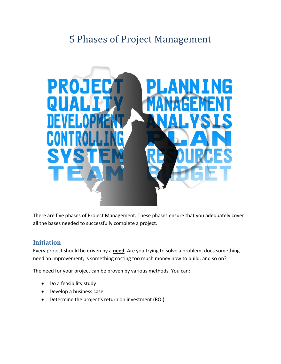# 5 Phases of Project Management



There are five phases of Project Management. These phases ensure that you adequately cover all the bases needed to successfully complete a project.

### **Initiation**

Every project should be driven by a **need**. Are you trying to solve a problem, does something need an improvement, is something costing too much money now to build, and so on?

The need for your project can be proven by various methods. You can:

- Do a feasibility study
- Develop a business case
- Determine the project's return on investment (ROI)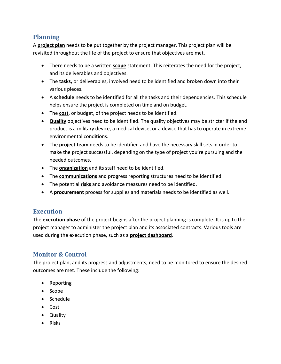# **Planning**

A **project plan** needs to be put together by the project manager. This project plan will be revisited throughout the life of the project to ensure that objectives are met.

- There needs to be a written **scope** statement. This reiterates the need for the project, and its deliverables and objectives.
- The **tasks,** or deliverables, involved need to be identified and broken down into their various pieces.
- A **schedule** needs to be identified for all the tasks and their dependencies. This schedule helps ensure the project is completed on time and on budget.
- The **cost**, or budget, of the project needs to be identified.
- **Quality** objectives need to be identified. The quality objectives may be stricter if the end product is a military device, a medical device, or a device that has to operate in extreme environmental conditions.
- The **project team** needs to be identified and have the necessary skill sets in order to make the project successful, depending on the type of project you're pursuing and the needed outcomes.
- The **organization** and its staff need to be identified.
- The **communications** and progress reporting structures need to be identified.
- The potential **risks** and avoidance measures need to be identified.
- A **procurement** process for supplies and materials needs to be identified as well.

### **Execution**

The **execution phase** of the project begins after the project planning is complete. It is up to the project manager to administer the project plan and its associated contracts. Various tools are used during the execution phase, such as a **project dashboard**.

## **Monitor & Control**

The project plan, and its progress and adjustments, need to be monitored to ensure the desired outcomes are met. These include the following:

- Reporting
- Scope
- Schedule
- Cost
- Quality
- Risks